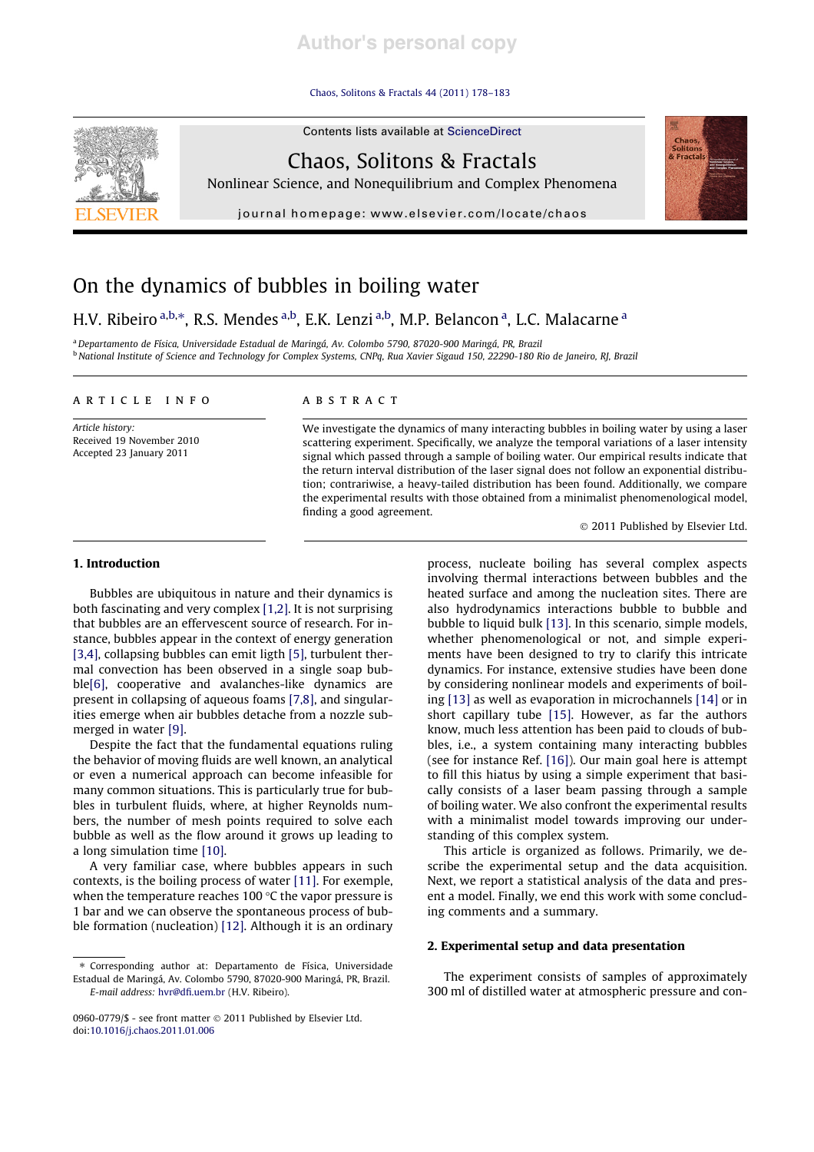# **Author's personal copy**

#### Chaos, Solitons & Fractals 44 (2011) 178–183

Contents lists available at ScienceDirect



Chaos, Solitons & Fractals

Nonlinear Science, and Nonequilibrium and Complex Phenomena

journal homepage: www.elsevier.com/locate/chaos



## H.V. Ribeiro <sup>a,b,\*</sup>, R.S. Mendes <sup>a,b</sup>, E.K. Lenzi <sup>a,b</sup>, M.P. Belancon <sup>a</sup>, L.C. Malacarne <sup>a</sup>

<sup>a</sup> Departamento de Física, Universidade Estadual de Maringá, Av. Colombo 5790, 87020-900 Maringá, PR, Brazil <sup>b</sup> National Institute of Science and Technology for Complex Systems, CNPq, Rua Xavier Sigaud 150, 22290-180 Rio de Janeiro, RJ, Brazil

#### article info

Article history: Received 19 November 2010 Accepted 23 January 2011

## abstract

We investigate the dynamics of many interacting bubbles in boiling water by using a laser scattering experiment. Specifically, we analyze the temporal variations of a laser intensity signal which passed through a sample of boiling water. Our empirical results indicate that the return interval distribution of the laser signal does not follow an exponential distribution; contrariwise, a heavy-tailed distribution has been found. Additionally, we compare the experimental results with those obtained from a minimalist phenomenological model, finding a good agreement.

 $© 2011$  Published by Elsevier Ltd.

**Chaos**<br>Solitor

#### 1. Introduction

Bubbles are ubiquitous in nature and their dynamics is both fascinating and very complex [1,2]. It is not surprising that bubbles are an effervescent source of research. For instance, bubbles appear in the context of energy generation [3,4], collapsing bubbles can emit ligth [5], turbulent thermal convection has been observed in a single soap bubble[6], cooperative and avalanches-like dynamics are present in collapsing of aqueous foams [7,8], and singularities emerge when air bubbles detache from a nozzle submerged in water [9].

Despite the fact that the fundamental equations ruling the behavior of moving fluids are well known, an analytical or even a numerical approach can become infeasible for many common situations. This is particularly true for bubbles in turbulent fluids, where, at higher Reynolds numbers, the number of mesh points required to solve each bubble as well as the flow around it grows up leading to a long simulation time [10].

A very familiar case, where bubbles appears in such contexts, is the boiling process of water [11]. For exemple, when the temperature reaches 100 °C the vapor pressure is 1 bar and we can observe the spontaneous process of bubble formation (nucleation) [12]. Although it is an ordinary

process, nucleate boiling has several complex aspects involving thermal interactions between bubbles and the heated surface and among the nucleation sites. There are also hydrodynamics interactions bubble to bubble and bubble to liquid bulk [13]. In this scenario, simple models, whether phenomenological or not, and simple experiments have been designed to try to clarify this intricate dynamics. For instance, extensive studies have been done by considering nonlinear models and experiments of boiling [13] as well as evaporation in microchannels [14] or in short capillary tube [15]. However, as far the authors know, much less attention has been paid to clouds of bubbles, i.e., a system containing many interacting bubbles (see for instance Ref. [16]). Our main goal here is attempt to fill this hiatus by using a simple experiment that basically consists of a laser beam passing through a sample of boiling water. We also confront the experimental results with a minimalist model towards improving our understanding of this complex system.

This article is organized as follows. Primarily, we describe the experimental setup and the data acquisition. Next, we report a statistical analysis of the data and present a model. Finally, we end this work with some concluding comments and a summary.

#### 2. Experimental setup and data presentation

The experiment consists of samples of approximately 300 ml of distilled water at atmospheric pressure and con-

<sup>⇑</sup> Corresponding author at: Departamento de Física, Universidade Estadual de Maringá, Av. Colombo 5790, 87020-900 Maringá, PR, Brazil. E-mail address: hvr@dfi.uem.br (H.V. Ribeiro).

<sup>0960-0779/\$ -</sup> see front matter  $\odot$  2011 Published by Elsevier Ltd. doi:10.1016/j.chaos.2011.01.006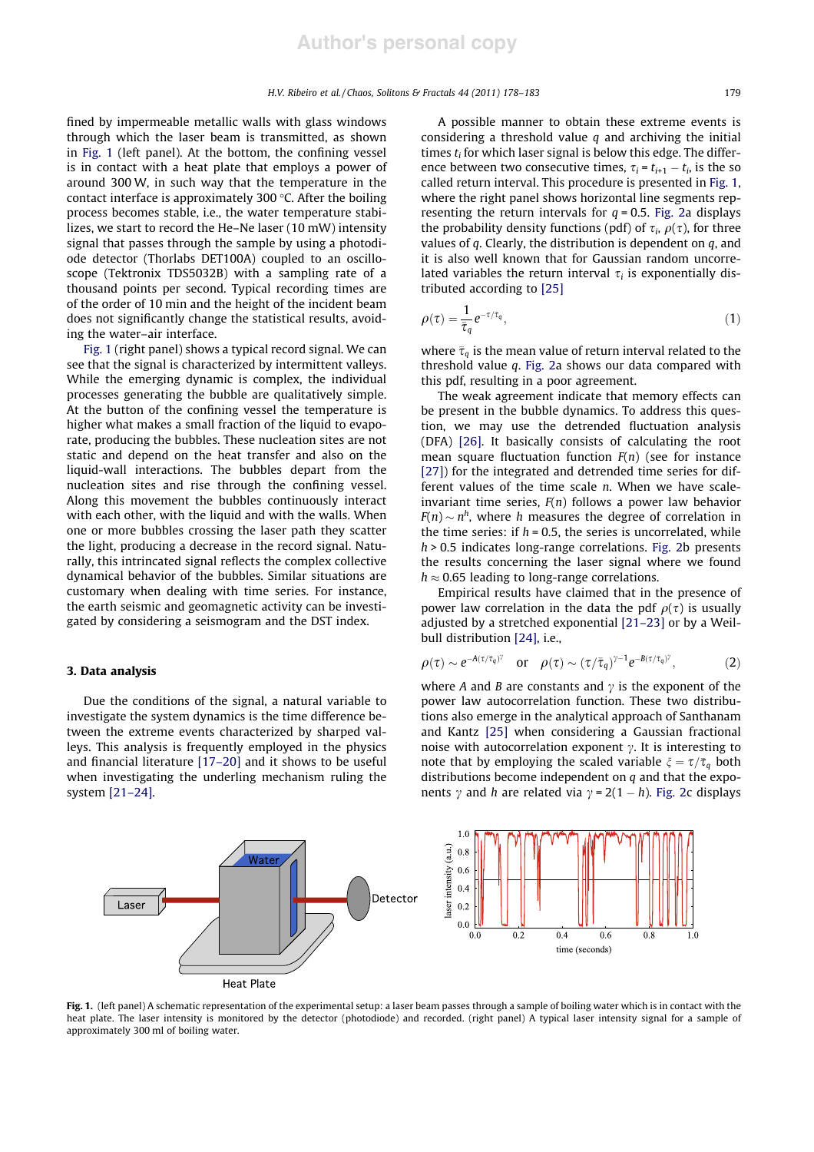fined by impermeable metallic walls with glass windows through which the laser beam is transmitted, as shown in Fig. 1 (left panel). At the bottom, the confining vessel is in contact with a heat plate that employs a power of around 300 W, in such way that the temperature in the contact interface is approximately 300 "C. After the boiling process becomes stable, i.e., the water temperature stabilizes, we start to record the He–Ne laser (10 mW) intensity signal that passes through the sample by using a photodiode detector (Thorlabs DET100A) coupled to an oscilloscope (Tektronix TDS5032B) with a sampling rate of a thousand points per second. Typical recording times are of the order of 10 min and the height of the incident beam does not significantly change the statistical results, avoiding the water–air interface.

Fig. 1 (right panel) shows a typical record signal. We can see that the signal is characterized by intermittent valleys. While the emerging dynamic is complex, the individual processes generating the bubble are qualitatively simple. At the button of the confining vessel the temperature is higher what makes a small fraction of the liquid to evaporate, producing the bubbles. These nucleation sites are not static and depend on the heat transfer and also on the liquid-wall interactions. The bubbles depart from the nucleation sites and rise through the confining vessel. Along this movement the bubbles continuously interact with each other, with the liquid and with the walls. When one or more bubbles crossing the laser path they scatter the light, producing a decrease in the record signal. Naturally, this intrincated signal reflects the complex collective dynamical behavior of the bubbles. Similar situations are customary when dealing with time series. For instance, the earth seismic and geomagnetic activity can be investigated by considering a seismogram and the DST index.

## 3. Data analysis

Due the conditions of the signal, a natural variable to investigate the system dynamics is the time difference between the extreme events characterized by sharped valleys. This analysis is frequently employed in the physics and financial literature [17–20] and it shows to be useful when investigating the underling mechanism ruling the system [21–24].

A possible manner to obtain these extreme events is considering a threshold value  $q$  and archiving the initial times  $t_i$  for which laser signal is below this edge. The difference between two consecutive times,  $\tau_i = t_{i+1} - t_i$ , is the so called return interval. This procedure is presented in Fig. 1, where the right panel shows horizontal line segments representing the return intervals for  $q = 0.5$ . Fig. 2a displays the probability density functions (pdf) of  $\tau_i$ ,  $\rho(\tau)$ , for three values of  $q$ . Clearly, the distribution is dependent on  $q$ , and it is also well known that for Gaussian random uncorrelated variables the return interval  $\tau_i$  is exponentially distributed according to [25]

$$
\rho(\tau) = \frac{1}{\bar{\tau}_q} e^{-\tau/\bar{\tau}_q},\tag{1}
$$

where  $\bar{\tau}_{q}$  is the mean value of return interval related to the threshold value q. Fig. 2a shows our data compared with this pdf, resulting in a poor agreement.

The weak agreement indicate that memory effects can be present in the bubble dynamics. To address this question, we may use the detrended fluctuation analysis (DFA) [26]. It basically consists of calculating the root mean square fluctuation function  $F(n)$  (see for instance [27]) for the integrated and detrended time series for different values of the time scale n. When we have scaleinvariant time series,  $F(n)$  follows a power law behavior  $F(n) \sim n^h$ , where h measures the degree of correlation in the time series: if  $h = 0.5$ , the series is uncorrelated, while  $h > 0.5$  indicates long-range correlations. Fig. 2b presents the results concerning the laser signal where we found  $h \approx 0.65$  leading to long-range correlations.

Empirical results have claimed that in the presence of power law correlation in the data the pdf  $\rho(\tau)$  is usually adjusted by a stretched exponential [21–23] or by a Weilbull distribution [24], i.e.,

$$
\rho(\tau) \sim e^{-A(\tau/\bar{\tau}_q)^{\gamma}} \quad \text{or} \quad \rho(\tau) \sim (\tau/\bar{\tau}_q)^{\gamma-1} e^{-B(\tau/\bar{\tau}_q)^{\gamma}}, \tag{2}
$$

where A and B are constants and  $\gamma$  is the exponent of the power law autocorrelation function. These two distributions also emerge in the analytical approach of Santhanam and Kantz [25] when considering a Gaussian fractional noise with autocorrelation exponent  $\gamma$ . It is interesting to note that by employing the scaled variable  $\xi = \tau/\bar{\tau}_q$  both distributions become independent on  $q$  and that the exponents  $\gamma$  and h are related via  $\gamma = 2(1 - h)$ . Fig. 2c displays



Fig. 1. (left panel) A schematic representation of the experimental setup: a laser beam passes through a sample of boiling water which is in contact with the heat plate. The laser intensity is monitored by the detector (photodiode) and recorded. (right panel) A typical laser intensity signal for a sample of approximately 300 ml of boiling water.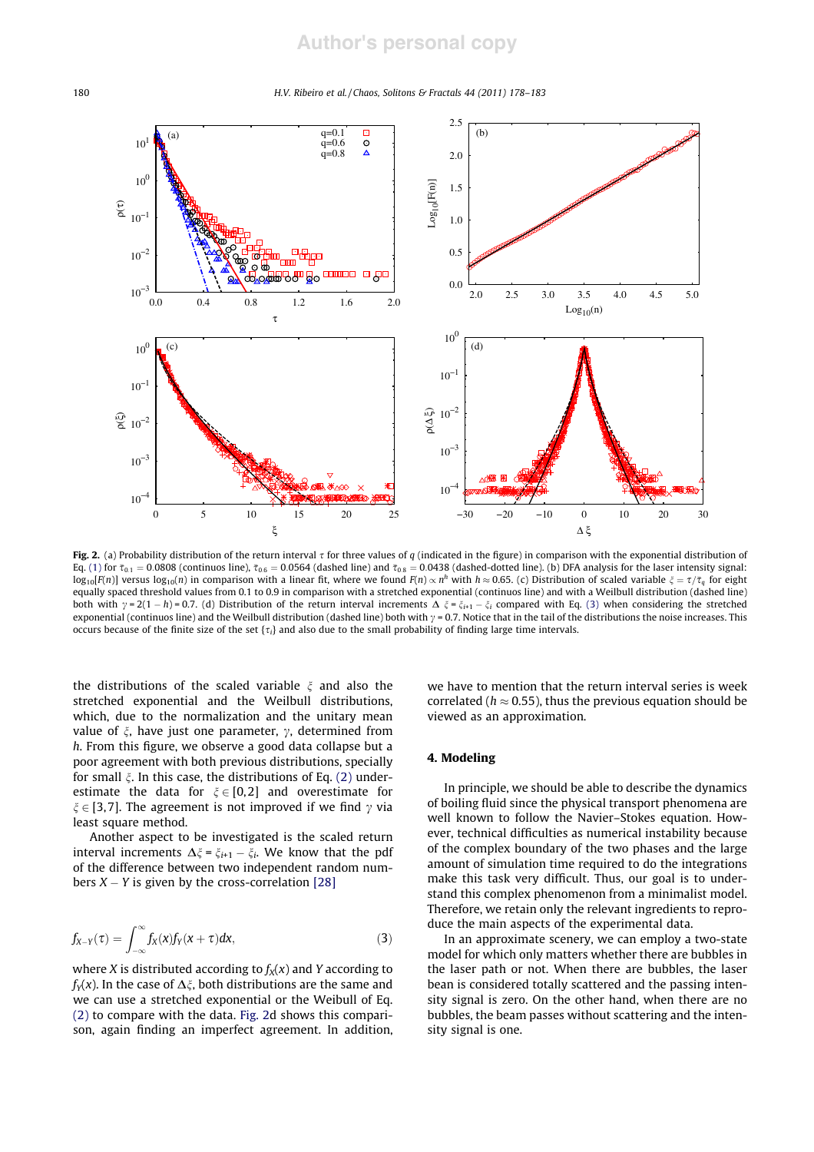180 H.V. Ribeiro et al. / Chaos, Solitons & Fractals 44 (2011) 178–183



Fig. 2. (a) Probability distribution of the return interval  $\tau$  for three values of q (indicated in the figure) in comparison with the exponential distribution of Eq. (1) for  $\bar{\tau}_{0.1}=$  0.0808 (continuos line),  $\bar{\tau}_{0.6}=$  0.0564 (dashed line) and  $\bar{\tau}_{0.8}=$  0.0438 (dashed-dotted line). (b) DFA analysis for the laser intensity signal:  $\log_{10} [F(n)]$  versus  $\log_{10}(n)$  in comparison with a linear fit, where we found  $F(n) \propto n^h$  with  $h \approx 0.65$ . (c) Distribution of scaled variable  $\xi = \tau/\bar{\tau}_q$  for eight equally spaced threshold values from 0.1 to 0.9 in comparison with a stretched exponential (continuos line) and with a Weilbull distribution (dashed line) both with  $\gamma = 2(1 - h) = 0.7$ . (d) Distribution of the return interval increments  $\Delta \xi = \xi_{i+1} - \xi_i$  compared with Eq. (3) when considering the stretched exponential (continuos line) and the Weilbull distribution (dashed line) both with  $\gamma$  = 0.7. Notice that in the tail of the distributions the noise increases. This occurs because of the finite size of the set  $\{\tau_i\}$  and also due to the small probability of finding large time intervals.

the distributions of the scaled variable  $\xi$  and also the stretched exponential and the Weilbull distributions, which, due to the normalization and the unitary mean value of  $\xi$ , have just one parameter,  $\gamma$ , determined from h. From this figure, we observe a good data collapse but a poor agreement with both previous distributions, specially for small  $\xi$ . In this case, the distributions of Eq. (2) underestimate the data for  $\xi \in [0,2]$  and overestimate for  $\xi \in [3,7]$ . The agreement is not improved if we find  $\gamma$  via least square method.

Another aspect to be investigated is the scaled return interval increments  $\Delta \xi = \xi_{i+1} - \xi_i$ . We know that the pdf of the difference between two independent random numbers  $X - Y$  is given by the cross-correlation [28]

$$
f_{X-Y}(\tau) = \int_{-\infty}^{\infty} f_X(x) f_Y(x+\tau) dx, \qquad (3)
$$

where X is distributed according to  $f_X(x)$  and Y according to  $f_Y(x)$ . In the case of  $\Delta \xi$ , both distributions are the same and we can use a stretched exponential or the Weibull of Eq. (2) to compare with the data. Fig. 2d shows this comparison, again finding an imperfect agreement. In addition, we have to mention that the return interval series is week correlated ( $h \approx 0.55$ ), thus the previous equation should be viewed as an approximation.

### 4. Modeling

In principle, we should be able to describe the dynamics of boiling fluid since the physical transport phenomena are well known to follow the Navier–Stokes equation. However, technical difficulties as numerical instability because of the complex boundary of the two phases and the large amount of simulation time required to do the integrations make this task very difficult. Thus, our goal is to understand this complex phenomenon from a minimalist model. Therefore, we retain only the relevant ingredients to reproduce the main aspects of the experimental data.

In an approximate scenery, we can employ a two-state model for which only matters whether there are bubbles in the laser path or not. When there are bubbles, the laser bean is considered totally scattered and the passing intensity signal is zero. On the other hand, when there are no bubbles, the beam passes without scattering and the intensity signal is one.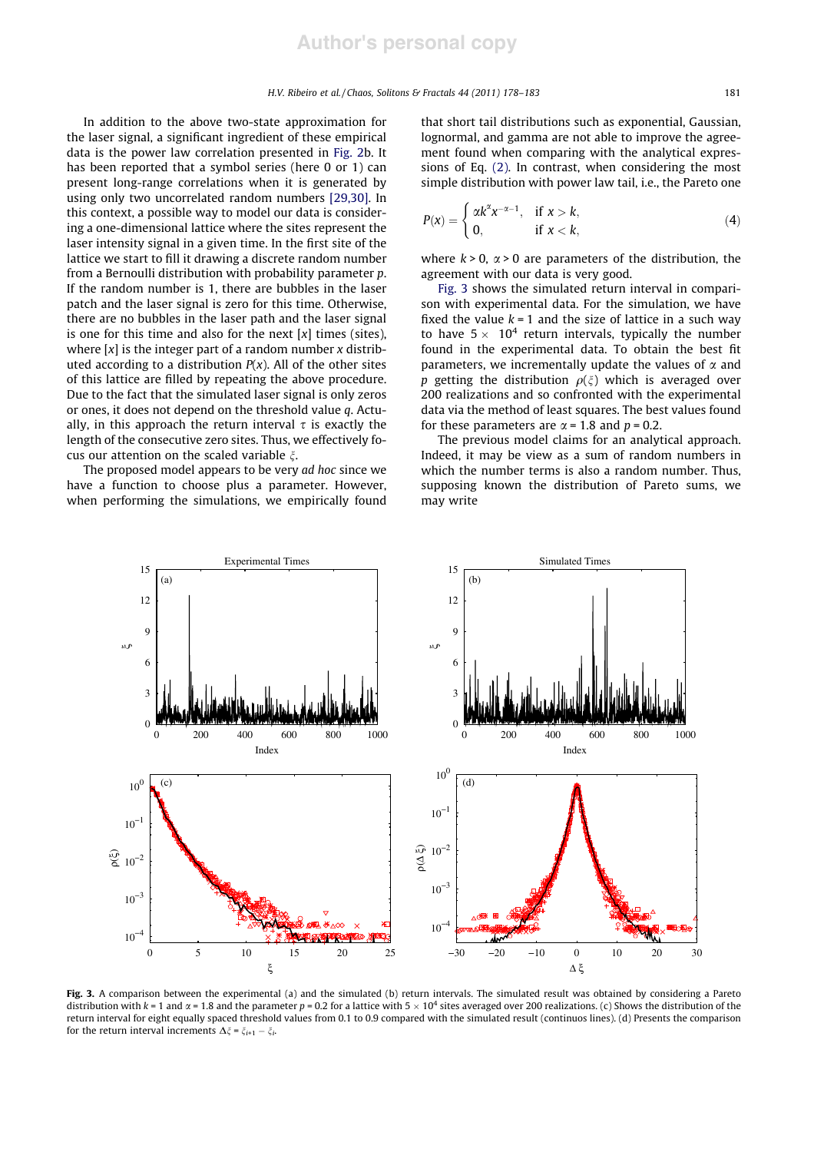In addition to the above two-state approximation for the laser signal, a significant ingredient of these empirical data is the power law correlation presented in Fig. 2b. It has been reported that a symbol series (here 0 or 1) can present long-range correlations when it is generated by using only two uncorrelated random numbers [29,30]. In this context, a possible way to model our data is considering a one-dimensional lattice where the sites represent the laser intensity signal in a given time. In the first site of the lattice we start to fill it drawing a discrete random number from a Bernoulli distribution with probability parameter p. If the random number is 1, there are bubbles in the laser patch and the laser signal is zero for this time. Otherwise, there are no bubbles in the laser path and the laser signal is one for this time and also for the next  $[x]$  times (sites), where  $[x]$  is the integer part of a random number x distributed according to a distribution  $P(x)$ . All of the other sites of this lattice are filled by repeating the above procedure. Due to the fact that the simulated laser signal is only zeros or ones, it does not depend on the threshold value q. Actually, in this approach the return interval  $\tau$  is exactly the length of the consecutive zero sites. Thus, we effectively focus our attention on the scaled variable  $\xi$ .

The proposed model appears to be very ad hoc since we have a function to choose plus a parameter. However, when performing the simulations, we empirically found that short tail distributions such as exponential, Gaussian, lognormal, and gamma are not able to improve the agreement found when comparing with the analytical expressions of Eq. (2). In contrast, when considering the most simple distribution with power law tail, i.e., the Pareto one

$$
P(x) = \begin{cases} \alpha k^{\alpha} x^{-\alpha - 1}, & \text{if } x > k, \\ 0, & \text{if } x < k, \end{cases}
$$
 (4)

where  $k > 0$ ,  $\alpha > 0$  are parameters of the distribution, the agreement with our data is very good.

Fig. 3 shows the simulated return interval in comparison with experimental data. For the simulation, we have fixed the value  $k = 1$  and the size of lattice in a such way to have  $5 \times 10^4$  return intervals, typically the number found in the experimental data. To obtain the best fit parameters, we incrementally update the values of  $\alpha$  and p getting the distribution  $\rho(\xi)$  which is averaged over 200 realizations and so confronted with the experimental data via the method of least squares. The best values found for these parameters are  $\alpha$  = 1.8 and  $p$  = 0.2.

The previous model claims for an analytical approach. Indeed, it may be view as a sum of random numbers in which the number terms is also a random number. Thus, supposing known the distribution of Pareto sums, we may write



Fig. 3. A comparison between the experimental (a) and the simulated (b) return intervals. The simulated result was obtained by considering a Pareto distribution with  $k = 1$  and  $\alpha = 1.8$  and the parameter  $p = 0.2$  for a lattice with  $5 \times 10^4$  sites averaged over 200 realizations. (c) Shows the distribution of the return interval for eight equally spaced threshold values from 0.1 to 0.9 compared with the simulated result (continuos lines). (d) Presents the comparison for the return interval increments  $\Delta \xi = \xi_{i+1} - \xi_i$ .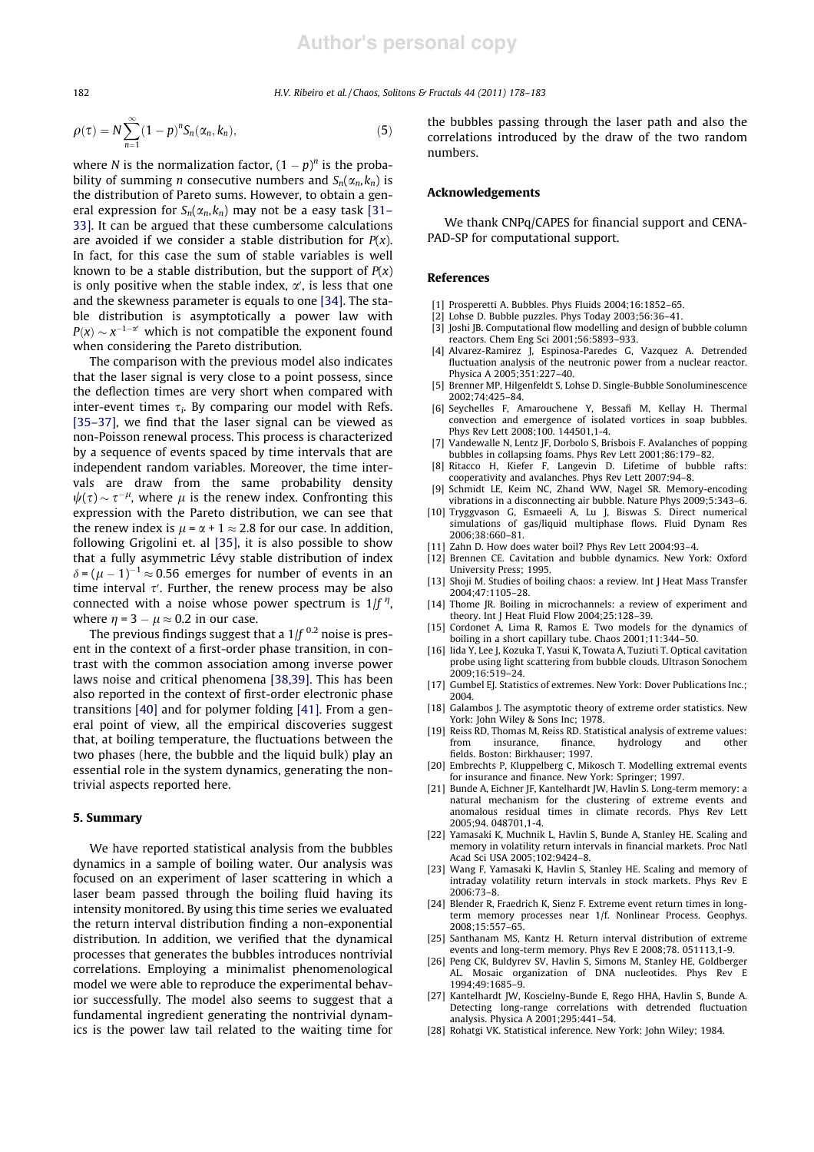182 H.V. Ribeiro et al. / Chaos, Solitons & Fractals 44 (2011) 178–183

$$
\rho(\tau) = N \sum_{n=1}^{\infty} (1-p)^n S_n(\alpha_n, k_n), \qquad (5)
$$

where *N* is the normalization factor,  $(1 - p)^n$  is the probability of summing *n* consecutive numbers and  $S_n(\alpha_n, k_n)$  is the distribution of Pareto sums. However, to obtain a general expression for  $S_n(\alpha_n,k_n)$  may not be a easy task [31– 33]. It can be argued that these cumbersome calculations are avoided if we consider a stable distribution for  $P(x)$ . In fact, for this case the sum of stable variables is well known to be a stable distribution, but the support of  $P(x)$ is only positive when the stable index,  $\alpha'$ , is less that one and the skewness parameter is equals to one [34]. The stable distribution is asymptotically a power law with  $P(x) \sim x^{-1-\alpha'}$  which is not compatible the exponent found when considering the Pareto distribution.

The comparison with the previous model also indicates that the laser signal is very close to a point possess, since the deflection times are very short when compared with inter-event times  $\tau_i$ . By comparing our model with Refs. [35–37], we find that the laser signal can be viewed as non-Poisson renewal process. This process is characterized by a sequence of events spaced by time intervals that are independent random variables. Moreover, the time intervals are draw from the same probability density  $\psi(\tau) \sim \tau^{-\mu}$ , where  $\mu$  is the renew index. Confronting this expression with the Pareto distribution, we can see that the renew index is  $\mu = \alpha + 1 \approx 2.8$  for our case. In addition, following Grigolini et. al [35], it is also possible to show that a fully asymmetric Lévy stable distribution of index  $\delta = (\mu - 1)^{-1} \approx 0.56$  emerges for number of events in an time interval  $\tau'$ . Further, the renew process may be also connected with a noise whose power spectrum is  $1/f''$ , where  $\eta = 3 - \mu \approx 0.2$  in our case.

The previous findings suggest that a  $1/f^{0.2}$  noise is present in the context of a first-order phase transition, in contrast with the common association among inverse power laws noise and critical phenomena [38,39]. This has been also reported in the context of first-order electronic phase transitions [40] and for polymer folding [41]. From a general point of view, all the empirical discoveries suggest that, at boiling temperature, the fluctuations between the two phases (here, the bubble and the liquid bulk) play an essential role in the system dynamics, generating the nontrivial aspects reported here.

## 5. Summary

We have reported statistical analysis from the bubbles dynamics in a sample of boiling water. Our analysis was focused on an experiment of laser scattering in which a laser beam passed through the boiling fluid having its intensity monitored. By using this time series we evaluated the return interval distribution finding a non-exponential distribution. In addition, we verified that the dynamical processes that generates the bubbles introduces nontrivial correlations. Employing a minimalist phenomenological model we were able to reproduce the experimental behavior successfully. The model also seems to suggest that a fundamental ingredient generating the nontrivial dynamics is the power law tail related to the waiting time for

the bubbles passing through the laser path and also the correlations introduced by the draw of the two random numbers.

#### Acknowledgements

We thank CNPq/CAPES for financial support and CENA-PAD-SP for computational support.

### References

- [1] Prosperetti A. Bubbles. Phys Fluids 2004;16:1852–65.
- [2] Lohse D. Bubble puzzles. Phys Today 2003;56:36–41.
- [3] Joshi JB. Computational flow modelling and design of bubble column reactors. Chem Eng Sci 2001;56:5893–933.
- [4] Alvarez-Ramirez J, Espinosa-Paredes G, Vazquez A. Detrended fluctuation analysis of the neutronic power from a nuclear reactor. Physica A 2005;351:227–40.
- [5] Brenner MP, Hilgenfeldt S, Lohse D. Single-Bubble Sonoluminescence 2002;74:425–84.
- [6] Seychelles F, Amarouchene Y, Bessafi M, Kellay H. Thermal convection and emergence of isolated vortices in soap bubbles. Phys Rev Lett 2008:100 144501 1-4
- [7] Vandewalle N, Lentz JF, Dorbolo S, Brisbois F. Avalanches of popping bubbles in collapsing foams. Phys Rev Lett 2001;86:179–82.
- [8] Ritacco H, Kiefer F, Langevin D. Lifetime of bubble rafts: cooperativity and avalanches. Phys Rev Lett 2007:94–8.
- [9] Schmidt LE, Keim NC, Zhand WW, Nagel SR, Memory-encoding vibrations in a disconnecting air bubble. Nature Phys 2009;5:343–6.
- [10] Tryggvason G, Esmaeeli A, Lu J, Biswas S. Direct numerical simulations of gas/liquid multiphase flows. Fluid Dynam Res 2006;38:660–81.
- [11] Zahn D. How does water boil? Phys Rev Lett 2004:93–4.
- [12] Brennen CE. Cavitation and bubble dynamics. New York: Oxford University Press; 1995.
- [13] Shoji M. Studies of boiling chaos: a review. Int J Heat Mass Transfer 2004;47:1105–28.
- [14] Thome JR. Boiling in microchannels: a review of experiment and theory. Int J Heat Fluid Flow 2004;25:128–39.
- [15] Cordonet A, Lima R, Ramos E. Two models for the dynamics of boiling in a short capillary tube. Chaos 2001;11:344–50.
- [16] Iida Y, Lee J, Kozuka T, Yasui K, Towata A, Tuziuti T. Optical cavitation probe using light scattering from bubble clouds. Ultrason Sonochem 2009;16:519–24.
- [17] Gumbel EJ. Statistics of extremes. New York: Dover Publications Inc.: 2004.
- [18] Galambos J. The asymptotic theory of extreme order statistics. New York: John Wiley & Sons Inc; 1978.
- [19] Reiss RD, Thomas M, Reiss RD. Statistical analysis of extreme values: from insurance, finance, hydrology and other fields. Boston: Birkhauser; 1997.
- [20] Embrechts P, Kluppelberg C, Mikosch T. Modelling extremal events for insurance and finance. New York: Springer; 1997.
- [21] Bunde A, Eichner JF, Kantelhardt JW, Havlin S. Long-term memory: a natural mechanism for the clustering of extreme events and anomalous residual times in climate records. Phys Rev Lett 2005;94. 048701,1-4.
- [22] Yamasaki K, Muchnik L, Havlin S, Bunde A, Stanley HE. Scaling and memory in volatility return intervals in financial markets. Proc Natl Acad Sci USA 2005;102:9424–8.
- [23] Wang F, Yamasaki K, Havlin S, Stanley HE. Scaling and memory of intraday volatility return intervals in stock markets. Phys Rev E  $2006:73-8$
- [24] Blender R, Fraedrich K, Sienz F. Extreme event return times in longterm memory processes near 1/f. Nonlinear Process. Geophys. 2008;15:557–65.
- [25] Santhanam MS, Kantz H. Return interval distribution of extreme events and long-term memory. Phys Rev E 2008;78. 051113,1-9.
- [26] Peng CK, Buldyrev SV, Havlin S, Simons M, Stanley HE, Goldberger AL. Mosaic organization of DNA nucleotides. Phys Rev E  $1994 \cdot 49 \cdot 1685 - 9$
- [27] Kantelhardt JW, Koscielny-Bunde E, Rego HHA, Havlin S, Bunde A. Detecting long-range correlations with detrended fluctuation analysis. Physica A 2001;295:441–54.
- [28] Rohatgi VK. Statistical inference. New York: John Wiley; 1984.